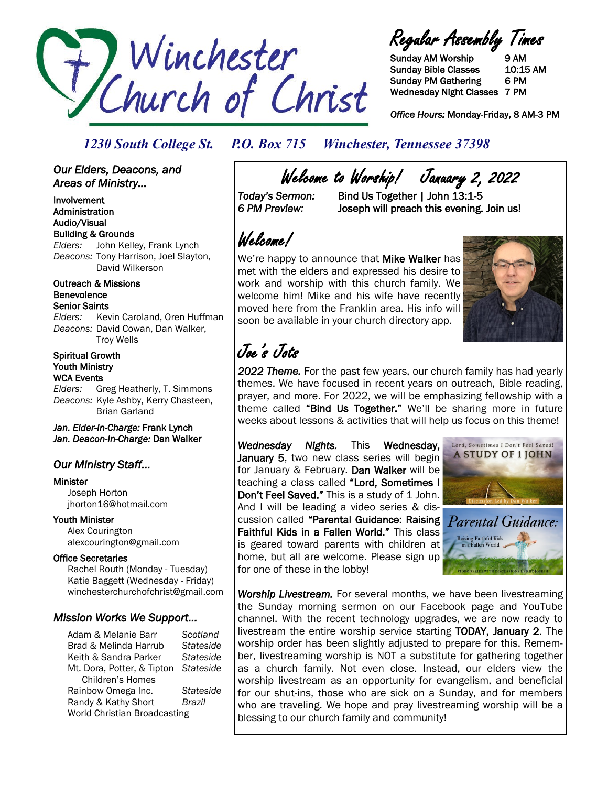

Regular Assembly Times

Sunday AM Worship 9 AM Sunday Bible Classes 10:15 AM Sunday PM Gathering 6 PM Wednesday Night Classes 7 PM

*Office Hours:* Monday-Friday, 8 AM-3 PM

### *1230 South College St. P.O. Box 715 Winchester, Tennessee 37398*

*Our Elders, Deacons, and Areas of Ministry...* 

Involvement Administration Audio/Visual Building & Grounds *Elders:* John Kelley, Frank Lynch *Deacons:* Tony Harrison, Joel Slayton, David Wilkerson

Outreach & Missions Benevolence Senior Saints

*Elders:* Kevin Caroland, Oren Huffman *Deacons:* David Cowan, Dan Walker, Troy Wells

Spiritual Growth Youth Ministry WCA Events

*Elders:* Greg Heatherly, T. Simmons *Deacons:* Kyle Ashby, Kerry Chasteen, Brian Garland

*Jan. Elder-In-Charge:* Frank Lynch *Jan. Deacon-In-Charge:* Dan Walker

### *Our Ministry Staff…*

Minister Joseph Horton jhorton16@hotmail.com

Youth Minister

 Alex Courington alexcourington@gmail.com

#### Office Secretaries

 Rachel Routh (Monday - Tuesday) Katie Baggett (Wednesday - Friday) winchesterchurchofchrist@gmail.com

#### *Mission Works We Support…*

Adam & Melanie Barr *Scotland* Brad & Melinda Harrub *Stateside* Keith & Sandra Parker *Stateside* Mt. Dora, Potter, & Tipton *Stateside* Children's Homes Rainbow Omega Inc. *Stateside* Randy & Kathy Short *Brazil* World Christian Broadcasting

Welcome to Worship! January 2, 2022<br>Today's Sermon: Bind Us Together | John 13:1-5

*Today's Sermon:* Bind Us Together | John 13:1-5 *6 PM Preview:* Joseph will preach this evening. Join us!

Welcome!

We're happy to announce that Mike Walker has met with the elders and expressed his desire to work and worship with this church family. We welcome him! Mike and his wife have recently moved here from the Franklin area. His info will soon be available in your church directory app.



### Joe's Jots

*2022 Theme.* For the past few years, our church family has had yearly themes. We have focused in recent years on outreach, Bible reading, prayer, and more. For 2022, we will be emphasizing fellowship with a theme called "Bind Us Together." We'll be sharing more in future weeks about lessons & activities that will help us focus on this theme!

*Wednesday Nights.* This Wednesday, January 5, two new class series will begin for January & February. Dan Walker will be teaching a class called "Lord, Sometimes I Don't Feel Saved." This is a study of 1 John. And I will be leading a video series & discussion called "Parental Guidance: Raising Faithful Kids in a Fallen World." This class is geared toward parents with children at home, but all are welcome. Please sign up for one of these in the lobby!





*Worship Livestream.* For several months, we have been livestreaming the Sunday morning sermon on our Facebook page and YouTube channel. With the recent technology upgrades, we are now ready to livestream the entire worship service starting TODAY, January 2. The worship order has been slightly adjusted to prepare for this. Remember, livestreaming worship is NOT a substitute for gathering together as a church family. Not even close. Instead, our elders view the worship livestream as an opportunity for evangelism, and beneficial for our shut-ins, those who are sick on a Sunday, and for members who are traveling. We hope and pray livestreaming worship will be a blessing to our church family and community!